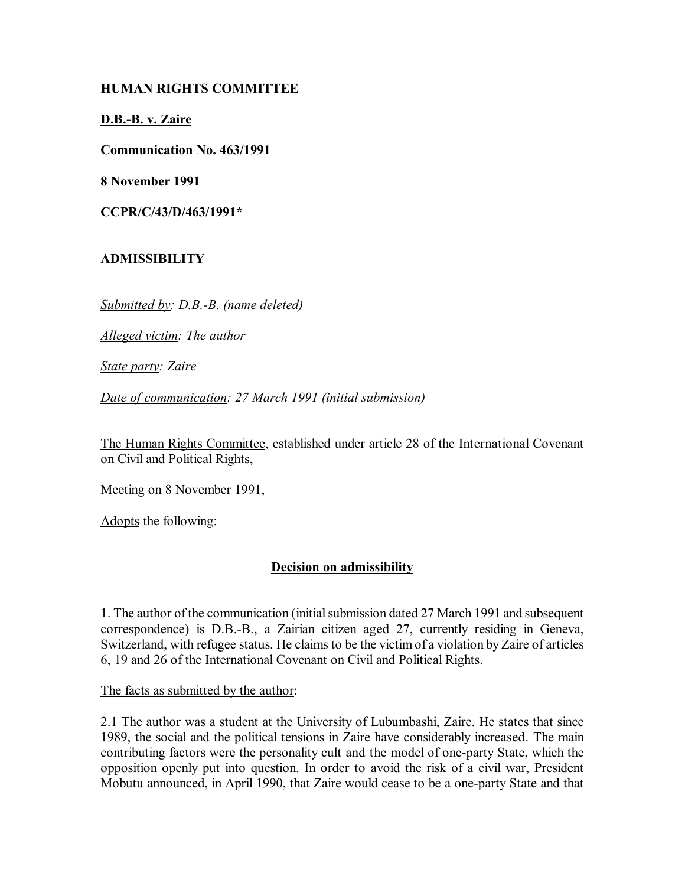## **HUMAN RIGHTS COMMITTEE**

**D.B.-B. v. Zaire**

**Communication No. 463/1991**

**8 November 1991**

**CCPR/C/43/D/463/1991\***

### **ADMISSIBILITY**

*Submitted by: D.B.-B. (name deleted)*

*Alleged victim: The author*

*State party: Zaire*

*Date of communication: 27 March 1991 (initial submission)*

The Human Rights Committee, established under article 28 of the International Covenant on Civil and Political Rights,

Meeting on 8 November 1991,

Adopts the following:

### **Decision on admissibility**

1. The author of the communication (initial submission dated 27 March 1991 and subsequent correspondence) is D.B.-B., a Zairian citizen aged 27, currently residing in Geneva, Switzerland, with refugee status. He claims to be the victim of a violation by Zaire of articles 6, 19 and 26 of the International Covenant on Civil and Political Rights.

The facts as submitted by the author:

2.1 The author was a student at the University of Lubumbashi, Zaire. He states that since 1989, the social and the political tensions in Zaire have considerably increased. The main contributing factors were the personality cult and the model of one-party State, which the opposition openly put into question. In order to avoid the risk of a civil war, President Mobutu announced, in April 1990, that Zaire would cease to be a one-party State and that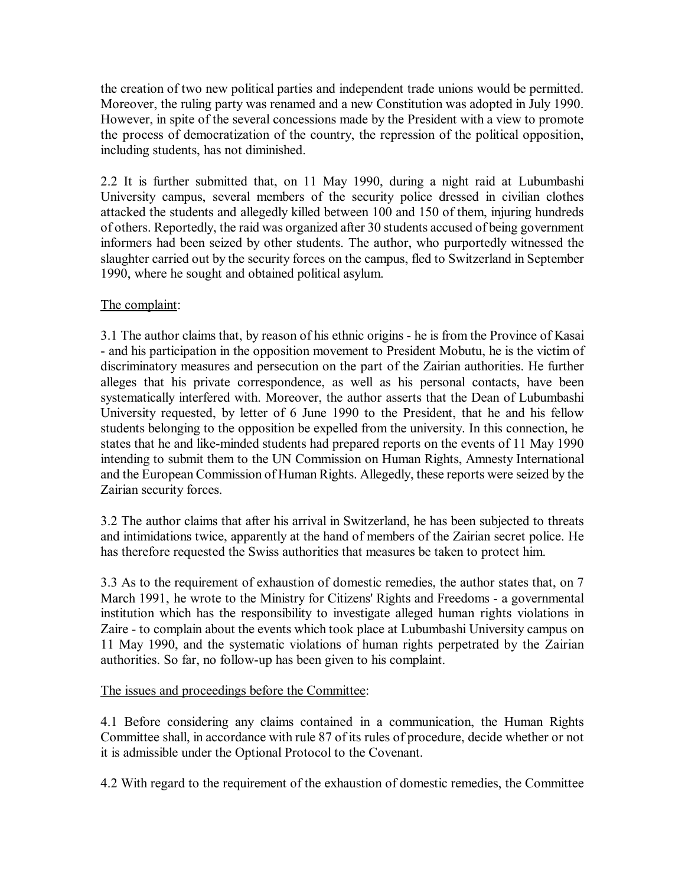the creation of two new political parties and independent trade unions would be permitted. Moreover, the ruling party was renamed and a new Constitution was adopted in July 1990. However, in spite of the several concessions made by the President with a view to promote the process of democratization of the country, the repression of the political opposition, including students, has not diminished.

2.2 It is further submitted that, on 11 May 1990, during a night raid at Lubumbashi University campus, several members of the security police dressed in civilian clothes attacked the students and allegedly killed between 100 and 150 of them, injuring hundreds of others. Reportedly, the raid was organized after 30 students accused of being government informers had been seized by other students. The author, who purportedly witnessed the slaughter carried out by the security forces on the campus, fled to Switzerland in September 1990, where he sought and obtained political asylum.

# The complaint:

3.1 The author claims that, by reason of his ethnic origins - he is from the Province of Kasai - and his participation in the opposition movement to President Mobutu, he is the victim of discriminatory measures and persecution on the part of the Zairian authorities. He further alleges that his private correspondence, as well as his personal contacts, have been systematically interfered with. Moreover, the author asserts that the Dean of Lubumbashi University requested, by letter of 6 June 1990 to the President, that he and his fellow students belonging to the opposition be expelled from the university. In this connection, he states that he and like-minded students had prepared reports on the events of 11 May 1990 intending to submit them to the UN Commission on Human Rights, Amnesty International and the European Commission of Human Rights. Allegedly, these reports were seized by the Zairian security forces.

3.2 The author claims that after his arrival in Switzerland, he has been subjected to threats and intimidations twice, apparently at the hand of members of the Zairian secret police. He has therefore requested the Swiss authorities that measures be taken to protect him.

3.3 As to the requirement of exhaustion of domestic remedies, the author states that, on 7 March 1991, he wrote to the Ministry for Citizens' Rights and Freedoms - a governmental institution which has the responsibility to investigate alleged human rights violations in Zaire - to complain about the events which took place at Lubumbashi University campus on 11 May 1990, and the systematic violations of human rights perpetrated by the Zairian authorities. So far, no follow-up has been given to his complaint.

## The issues and proceedings before the Committee:

4.1 Before considering any claims contained in a communication, the Human Rights Committee shall, in accordance with rule 87 of its rules of procedure, decide whether or not it is admissible under the Optional Protocol to the Covenant.

4.2 With regard to the requirement of the exhaustion of domestic remedies, the Committee